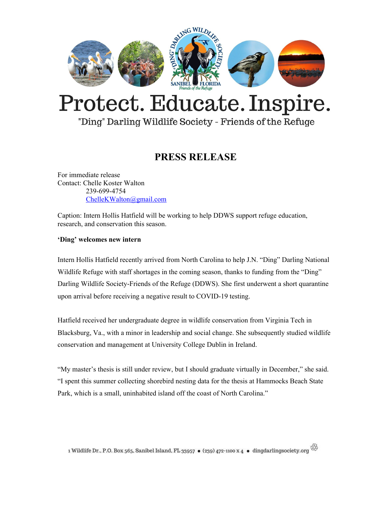

## Protect. Educate. Inspire.

"Ding" Darling Wildlife Society - Friends of the Refuge

## **PRESS RELEASE**

For immediate release Contact: Chelle Koster Walton 239-699-4754 [ChelleKWalton@gmail.com](mailto:ChelleKWalton@gmail.com)

Caption: Intern Hollis Hatfield will be working to help DDWS support refuge education, research, and conservation this season.

## **'Ding' welcomes new intern**

Intern Hollis Hatfield recently arrived from North Carolina to help J.N. "Ding" Darling National Wildlife Refuge with staff shortages in the coming season, thanks to funding from the "Ding" Darling Wildlife Society-Friends of the Refuge (DDWS). She first underwent a short quarantine upon arrival before receiving a negative result to COVID-19 testing.

Hatfield received her undergraduate degree in wildlife conservation from Virginia Tech in Blacksburg, Va., with a minor in leadership and social change. She subsequently studied wildlife conservation and management at University College Dublin in Ireland.

"My master's thesis is still under review, but I should graduate virtually in December," she said. "I spent this summer collecting shorebird nesting data for the thesis at Hammocks Beach State Park, which is a small, uninhabited island off the coast of North Carolina."